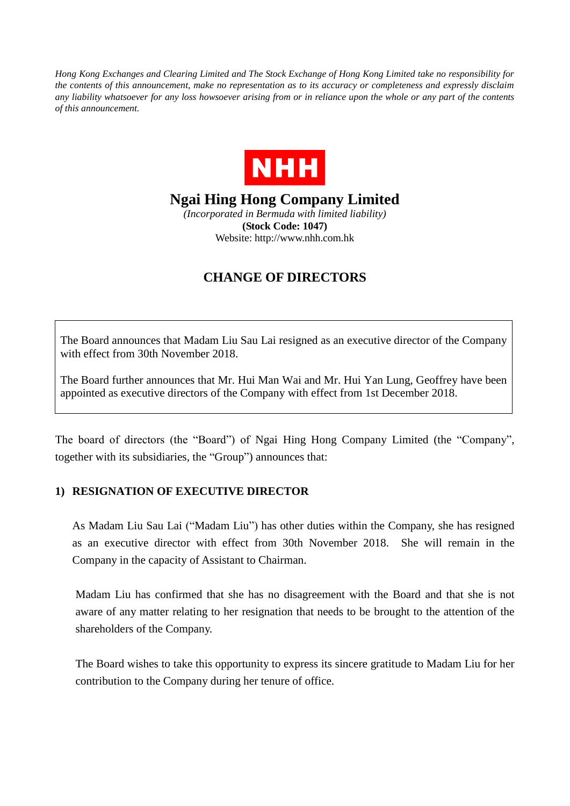*Hong Kong Exchanges and Clearing Limited and The Stock Exchange of Hong Kong Limited take no responsibility for the contents of this announcement, make no representation as to its accuracy or completeness and expressly disclaim any liability whatsoever for any loss howsoever arising from or in reliance upon the whole or any part of the contents of this announcement.*



**Ngai Hing Hong Company Limited**

*(Incorporated in Bermuda with limited liability)* **(Stock Code: 1047)** Website: http://www.nhh.com.hk

## **CHANGE OF DIRECTORS**

The Board announces that Madam Liu Sau Lai resigned as an executive director of the Company with effect from 30th November 2018.

The Board further announces that Mr. Hui Man Wai and Mr. Hui Yan Lung, Geoffrey have been appointed as executive directors of the Company with effect from 1st December 2018.

The board of directors (the "Board") of Ngai Hing Hong Company Limited (the "Company", together with its subsidiaries, the "Group") announces that:

## **1) RESIGNATION OF EXECUTIVE DIRECTOR**

As Madam Liu Sau Lai ("Madam Liu") has other duties within the Company, she has resigned as an executive director with effect from 30th November 2018. She will remain in the Company in the capacity of Assistant to Chairman.

Madam Liu has confirmed that she has no disagreement with the Board and that she is not aware of any matter relating to her resignation that needs to be brought to the attention of the shareholders of the Company.

The Board wishes to take this opportunity to express its sincere gratitude to Madam Liu for her contribution to the Company during her tenure of office.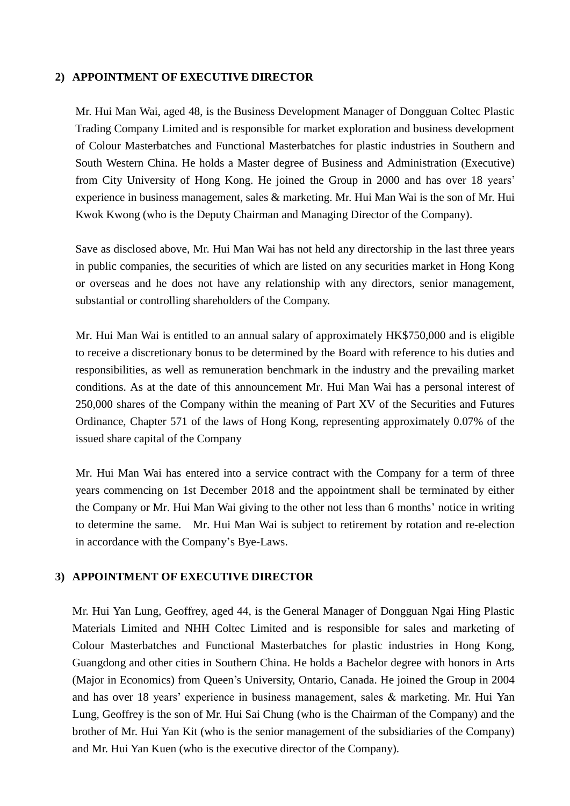## **2) APPOINTMENT OF EXECUTIVE DIRECTOR**

Mr. Hui Man Wai, aged 48, is the Business Development Manager of Dongguan Coltec Plastic Trading Company Limited and is responsible for market exploration and business development of Colour Masterbatches and Functional Masterbatches for plastic industries in Southern and South Western China. He holds a Master degree of Business and Administration (Executive) from City University of Hong Kong. He joined the Group in 2000 and has over 18 years' experience in business management, sales & marketing. Mr. Hui Man Wai is the son of Mr. Hui Kwok Kwong (who is the Deputy Chairman and Managing Director of the Company).

Save as disclosed above, Mr. Hui Man Wai has not held any directorship in the last three years in public companies, the securities of which are listed on any securities market in Hong Kong or overseas and he does not have any relationship with any directors, senior management, substantial or controlling shareholders of the Company.

Mr. Hui Man Wai is entitled to an annual salary of approximately HK\$750,000 and is eligible to receive a discretionary bonus to be determined by the Board with reference to his duties and responsibilities, as well as remuneration benchmark in the industry and the prevailing market conditions. As at the date of this announcement Mr. Hui Man Wai has a personal interest of 250,000 shares of the Company within the meaning of Part XV of the Securities and Futures Ordinance, Chapter 571 of the laws of Hong Kong, representing approximately 0.07% of the issued share capital of the Company

Mr. Hui Man Wai has entered into a service contract with the Company for a term of three years commencing on 1st December 2018 and the appointment shall be terminated by either the Company or Mr. Hui Man Wai giving to the other not less than 6 months' notice in writing to determine the same. Mr. Hui Man Wai is subject to retirement by rotation and re-election in accordance with the Company's Bye-Laws.

## **3) APPOINTMENT OF EXECUTIVE DIRECTOR**

Mr. Hui Yan Lung, Geoffrey, aged 44, is the General Manager of Dongguan Ngai Hing Plastic Materials Limited and NHH Coltec Limited and is responsible for sales and marketing of Colour Masterbatches and Functional Masterbatches for plastic industries in Hong Kong, Guangdong and other cities in Southern China. He holds a Bachelor degree with honors in Arts (Major in Economics) from Queen's University, Ontario, Canada. He joined the Group in 2004 and has over 18 years' experience in business management, sales & marketing. Mr. Hui Yan Lung, Geoffrey is the son of Mr. Hui Sai Chung (who is the Chairman of the Company) and the brother of Mr. Hui Yan Kit (who is the senior management of the subsidiaries of the Company) and Mr. Hui Yan Kuen (who is the executive director of the Company).